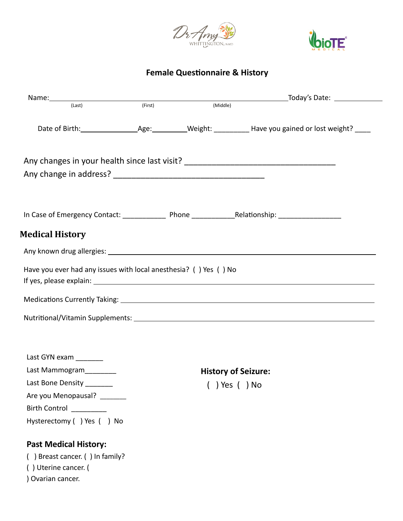



# **Female Questionnaire & History**

|                                                                  |                            |  | Name: <u>(Last)</u> (First) (First) (First) (Middle) Mame: Clast) (Last) (First) (Middle) |
|------------------------------------------------------------------|----------------------------|--|-------------------------------------------------------------------------------------------|
|                                                                  |                            |  |                                                                                           |
|                                                                  |                            |  |                                                                                           |
|                                                                  |                            |  | Any changes in your health since last visit? ___________________________________          |
|                                                                  |                            |  |                                                                                           |
|                                                                  |                            |  |                                                                                           |
| <b>Medical History</b>                                           |                            |  |                                                                                           |
|                                                                  |                            |  |                                                                                           |
| Have you ever had any issues with local anesthesia? () Yes () No |                            |  |                                                                                           |
|                                                                  |                            |  |                                                                                           |
|                                                                  |                            |  |                                                                                           |
|                                                                  |                            |  |                                                                                           |
| Last GYN exam ________                                           |                            |  |                                                                                           |
| Last Mammogram                                                   | <b>History of Seizure:</b> |  |                                                                                           |
| Last Bone Density ________                                       | $( )$ Yes $( )$ No         |  |                                                                                           |
| Are you Menopausal? _______                                      |                            |  |                                                                                           |
| <b>Birth Control Example 20</b>                                  |                            |  |                                                                                           |
| Hysterectomy () Yes () No                                        |                            |  |                                                                                           |
| <b>Past Medical History:</b>                                     |                            |  |                                                                                           |

- ( ) Breast cancer. ( ) In family?
- ( ) Uterine cancer. (
- ) Ovarian cancer.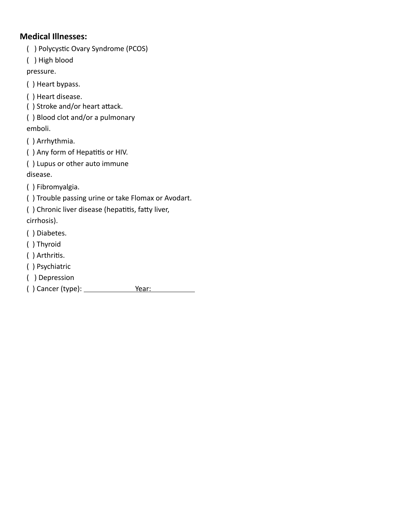## **Medical Illnesses:**

- ( ) Polycystic Ovary Syndrome (PCOS)
- ( ) High blood

pressure.

( ) Heart bypass.

( ) Heart disease.

- ( ) Stroke and/or heart attack.
- ( ) Blood clot and/or a pulmonary

emboli.

( ) Arrhythmia.

( ) Any form of Hepatitis or HIV.

( ) Lupus or other auto immune disease.

( ) Fibromyalgia.

( ) Trouble passing urine or take Flomax or Avodart.

( ) Chronic liver disease (hepatitis, fatty liver, cirrhosis).

( ) Diabetes.

- ( ) Thyroid
- ( ) Arthritis.
- ( ) Psychiatric
- ( ) Depression

 $( )$  Cancer (type):  $\overline{\hspace{1.5cm} Y$ ear: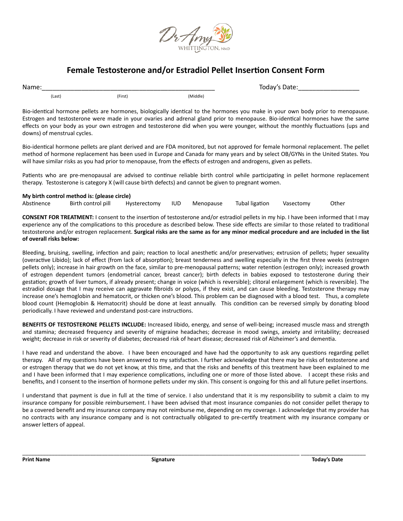

### **Female Testosterone and/or Estradiol Pellet Insertion Consent Form**

Name:\_\_\_\_\_\_\_\_\_\_\_\_\_\_\_\_\_\_\_\_\_\_\_\_\_\_\_\_\_\_\_\_\_\_\_\_\_\_\_\_\_\_\_\_\_\_\_\_ Today's Date:\_\_\_\_\_\_\_\_\_\_\_\_\_\_\_\_\_ (Last) (First) (Middle)

Bio-identical hormone pellets are hormones, biologically identical to the hormones you make in your own body prior to menopause. Estrogen and testosterone were made in your ovaries and adrenal gland prior to menopause. Bio-identical hormones have the same effects on your body as your own estrogen and testosterone did when you were younger, without the monthly fluctuations (ups and downs) of menstrual cycles.

Bio-identical hormone pellets are plant derived and are FDA monitored, but not approved for female hormonal replacement. The pellet method of hormone replacement has been used in Europe and Canada for many years and by select OB/GYNs in the United States. You will have similar risks as you had prior to menopause, from the effects of estrogen and androgens, given as pellets.

Patients who are pre-menopausal are advised to continue reliable birth control while participating in pellet hormone replacement therapy. Testosterone is category X (will cause birth defects) and cannot be given to pregnant women.

#### **My birth control method is: (please circle)**

Abstinence Birth control pill Hysterectomy IUD Menopause Tubal ligation Vasectomy Other

**CONSENT FOR TREATMENT:** I consent to the insertion of testosterone and/or estradiol pellets in my hip. I have been informed that I may experience any of the complications to this procedure as described below. These side effects are similar to those related to traditional testosterone and/or estrogen replacement. **Surgical risks are the same as for any minor medical procedure and are included in the list of overall risks below:**

Bleeding, bruising, swelling, infection and pain; reaction to local anesthetic and/or preservatives; extrusion of pellets; hyper sexuality (overactive Libido); lack of effect (from lack of absorption); breast tenderness and swelling especially in the first three weeks (estrogen pellets only); increase in hair growth on the face, similar to pre-menopausal patterns; water retention (estrogen only); increased growth of estrogen dependent tumors (endometrial cancer, breast cancer); birth defects in babies exposed to testosterone during their gestation; growth of liver tumors, if already present; change in voice (which is reversible); clitoral enlargement (which is reversible). The estradiol dosage that I may receive can aggravate fibroids or polyps, if they exist, and can cause bleeding. Testosterone therapy may increase one's hemoglobin and hematocrit, or thicken one's blood. This problem can be diagnosed with a blood test. Thus, a complete blood count (Hemoglobin & Hematocrit) should be done at least annually. This condition can be reversed simply by donating blood periodically. I have reviewed and understand post-care instructions.

**BENEFITS OF TESTOSTERONE PELLETS INCLUDE:** Increased libido, energy, and sense of well-being; increased muscle mass and strength and stamina; decreased frequency and severity of migraine headaches; decrease in mood swings, anxiety and irritability; decreased weight; decrease in risk or severity of diabetes; decreased risk of heart disease; decreased risk of Alzheimer's and dementia.

I have read and understand the above. I have been encouraged and have had the opportunity to ask any questions regarding pellet therapy. All of my questions have been answered to my satisfaction. I further acknowledge that there may be risks of testosterone and or estrogen therapy that we do not yet know, at this time, and that the risks and benefits of this treatment have been explained to me and I have been informed that I may experience complications, including one or more of those listed above. I accept these risks and benefits, and I consent to the insertion of hormone pellets under my skin. This consent is ongoing for this and all future pellet insertions.

I understand that payment is due in full at the time of service. I also understand that it is my responsibility to submit a claim to my insurance company for possible reimbursement. I have been advised that most insurance companies do not consider pellet therapy to be a covered benefit and my insurance company may not reimburse me, depending on my coverage. I acknowledge that my provider has no contracts with any insurance company and is not contractually obligated to pre-certify treatment with my insurance company or answer letters of appeal.

\_\_\_\_\_\_\_\_\_\_\_\_\_\_\_\_\_\_\_\_\_\_\_\_\_\_\_\_\_\_\_\_\_\_\_\_\_\_\_\_\_\_\_\_\_\_\_\_\_\_\_\_\_\_\_\_\_\_\_\_\_\_\_\_\_\_\_\_\_\_\_\_\_\_\_\_\_\_\_\_\_\_\_\_\_\_\_\_\_\_\_\_\_\_ \_\_\_\_\_\_\_\_\_\_\_\_\_\_\_\_\_\_\_\_\_\_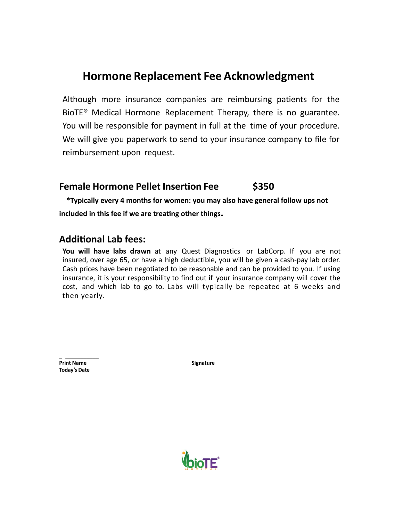# **Hormone Replacement Fee Acknowledgment**

Although more insurance companies are reimbursing patients for the BioTE® Medical Hormone Replacement Therapy, there is no guarantee. You will be responsible for payment in full at the time of your procedure. We will give you paperwork to send to your insurance company to file for reimbursement upon request.

# **Female Hormone Pellet Insertion Fee \$350**

 **\*Typically every 4 months for women: you may also have general follow ups not included in this fee if we are treating other things.** 

## **Additional Lab fees:**

**You will have labs drawn** at any Quest Diagnostics or LabCorp. If you are not insured, over age 65, or have a high deductible, you will be given a cash-pay lab order. Cash prices have been negotiated to be reasonable and can be provided to you. If using insurance, it is your responsibility to find out if your insurance company will cover the cost, and which lab to go to. Labs will typically be repeated at 6 weeks and then yearly.

\_ \_\_\_\_\_\_\_\_\_\_\_ **Print Name Signature Today's Date**

\_

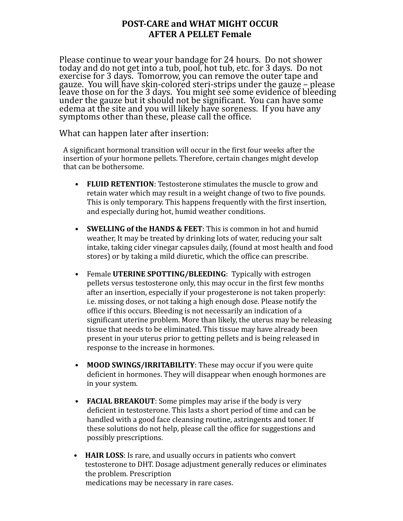## **POST-CARE and WHAT MIGHT OCCUR AFTER A PELLET Female**

Please continue to wear your bandage for 24 hours. Do not shower today and do not get into a tub, pool, hot tub, etc. for 3 days. Do not exercise for 3 days. Tomorrow, you can remove the outer tape and gauze. You will have skin-colored steri-strips under the gauze – please leave those on for the 3 days. You might see some evidence of bleeding under the gauze but it should not be significant. You can have some edema at the site and you will likely have soreness. If you have any symptoms other than these, please call the office.

What can happen later after insertion:

A significant hormonal transition will occur in the first four weeks after the insertion of your hormone pellets. Therefore, certain changes might develop that can be bothersome.

- FLUID RETENTION: Testosterone stimulates the muscle to grow and retain water which may result in a weight change of two to five pounds. This is only temporary. This happens frequently with the first insertion, and especially during hot, humid weather conditions.
- **SWELLING of the HANDS & FEET**: This is common in hot and humid weather, It may be treated by drinking lots of water, reducing your salt intake, taking cider vinegar capsules daily, (found at most health and food stores) or by taking a mild diuretic, which the office can prescribe.
- Female **UTERINE SPOTTING/BLEEDING**: Typically with estrogen pellets versus testosterone only, this may occur in the first few months after an insertion, especially if your progesterone is not taken properly: i.e. missing doses, or not taking a high enough dose. Please notify the office if this occurs. Bleeding is not necessarily an indication of a significant uterine problem. More than likely, the uterus may be releasing tissue that needs to be eliminated. This tissue may have already been present in your uterus prior to getting pellets and is being released in response to the increase in hormones.
- MOOD **SWINGS/IRRITABILITY**: These may occur if you were quite deficient in hormones. They will disappear when enough hormones are in your system.
- **FACIAL BREAKOUT**: Some pimples may arise if the body is very deficient in testosterone. This lasts a short period of time and can be handled with a good face cleansing routine, astringents and toner. If these solutions do not help, please call the office for suggestions and possibly prescriptions.
- HAIR LOSS: Is rare, and usually occurs in patients who convert testosterone to DHT. Dosage adjustment generally reduces or eliminates the problem. Prescription medications may be necessary in rare cases.